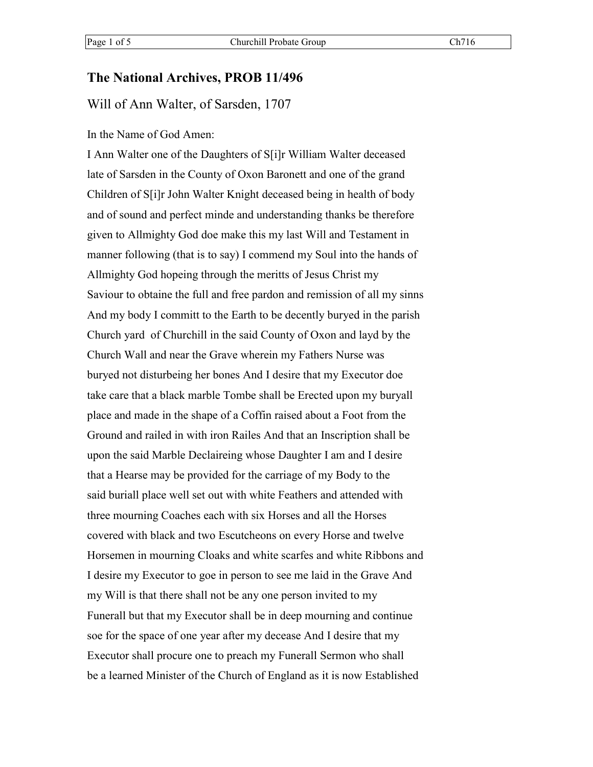## **The National Archives, PROB 11/496**

## Will of Ann Walter, of Sarsden, 1707

#### In the Name of God Amen:

I Ann Walter one of the Daughters of S[i]r William Walter deceased late of Sarsden in the County of Oxon Baronett and one of the grand Children of S[i]r John Walter Knight deceased being in health of body and of sound and perfect minde and understanding thanks be therefore given to Allmighty God doe make this my last Will and Testament in manner following (that is to say) I commend my Soul into the hands of Allmighty God hopeing through the meritts of Jesus Christ my Saviour to obtaine the full and free pardon and remission of all my sinns And my body I committ to the Earth to be decently buryed in the parish Church yard of Churchill in the said County of Oxon and layd by the Church Wall and near the Grave wherein my Fathers Nurse was buryed not disturbeing her bones And I desire that my Executor doe take care that a black marble Tombe shall be Erected upon my buryall place and made in the shape of a Coffin raised about a Foot from the Ground and railed in with iron Railes And that an Inscription shall be upon the said Marble Declaireing whose Daughter I am and I desire that a Hearse may be provided for the carriage of my Body to the said buriall place well set out with white Feathers and attended with three mourning Coaches each with six Horses and all the Horses covered with black and two Escutcheons on every Horse and twelve Horsemen in mourning Cloaks and white scarfes and white Ribbons and I desire my Executor to goe in person to see me laid in the Grave And my Will is that there shall not be any one person invited to my Funerall but that my Executor shall be in deep mourning and continue soe for the space of one year after my decease And I desire that my Executor shall procure one to preach my Funerall Sermon who shall be a learned Minister of the Church of England as it is now Established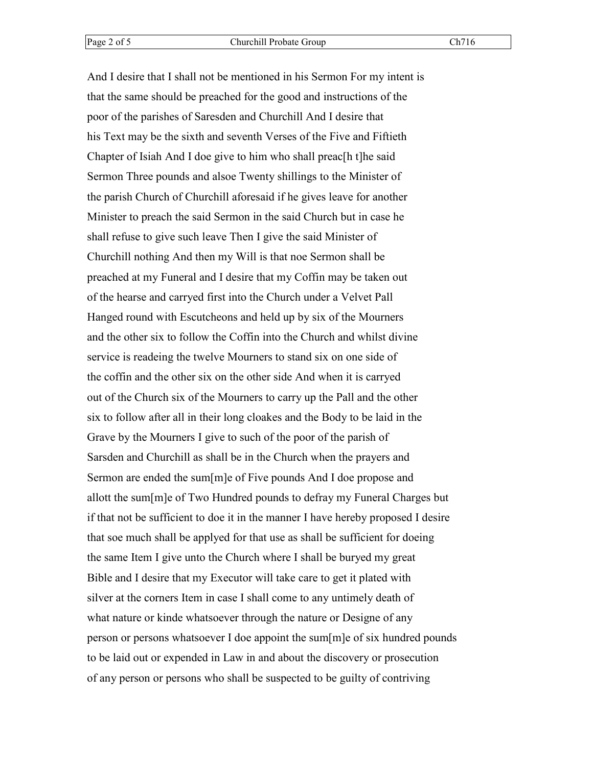And I desire that I shall not be mentioned in his Sermon For my intent is that the same should be preached for the good and instructions of the poor of the parishes of Saresden and Churchill And I desire that his Text may be the sixth and seventh Verses of the Five and Fiftieth Chapter of Isiah And I doe give to him who shall preac[h t]he said Sermon Three pounds and alsoe Twenty shillings to the Minister of the parish Church of Churchill aforesaid if he gives leave for another Minister to preach the said Sermon in the said Church but in case he shall refuse to give such leave Then I give the said Minister of Churchill nothing And then my Will is that noe Sermon shall be preached at my Funeral and I desire that my Coffin may be taken out of the hearse and carryed first into the Church under a Velvet Pall Hanged round with Escutcheons and held up by six of the Mourners and the other six to follow the Coffin into the Church and whilst divine service is readeing the twelve Mourners to stand six on one side of the coffin and the other six on the other side And when it is carryed out of the Church six of the Mourners to carry up the Pall and the other six to follow after all in their long cloakes and the Body to be laid in the Grave by the Mourners I give to such of the poor of the parish of Sarsden and Churchill as shall be in the Church when the prayers and Sermon are ended the sum[m]e of Five pounds And I doe propose and allott the sum[m]e of Two Hundred pounds to defray my Funeral Charges but if that not be sufficient to doe it in the manner I have hereby proposed I desire that soe much shall be applyed for that use as shall be sufficient for doeing the same Item I give unto the Church where I shall be buryed my great Bible and I desire that my Executor will take care to get it plated with silver at the corners Item in case I shall come to any untimely death of what nature or kinde whatsoever through the nature or Designe of any person or persons whatsoever I doe appoint the sum[m]e of six hundred pounds to be laid out or expended in Law in and about the discovery or prosecution of any person or persons who shall be suspected to be guilty of contriving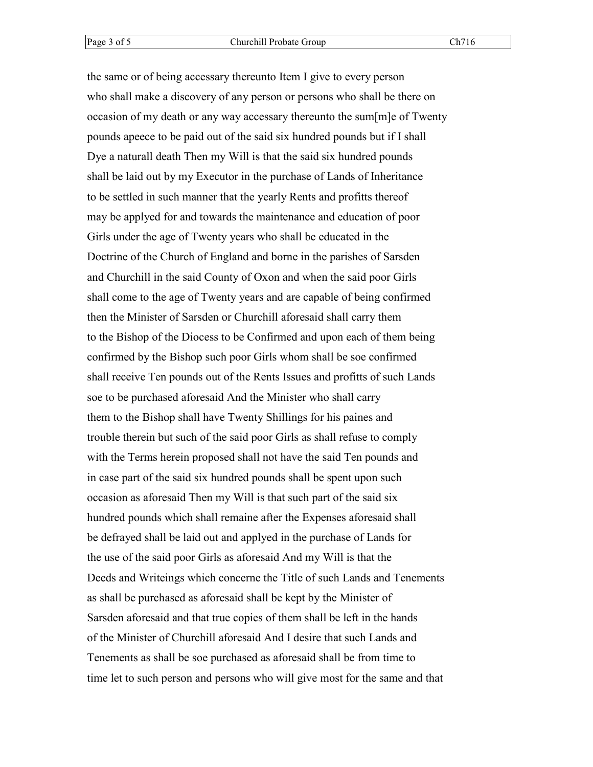the same or of being accessary thereunto Item I give to every person who shall make a discovery of any person or persons who shall be there on occasion of my death or any way accessary thereunto the sum[m]e of Twenty pounds apeece to be paid out of the said six hundred pounds but if I shall Dye a naturall death Then my Will is that the said six hundred pounds shall be laid out by my Executor in the purchase of Lands of Inheritance to be settled in such manner that the yearly Rents and profitts thereof may be applyed for and towards the maintenance and education of poor Girls under the age of Twenty years who shall be educated in the Doctrine of the Church of England and borne in the parishes of Sarsden and Churchill in the said County of Oxon and when the said poor Girls shall come to the age of Twenty years and are capable of being confirmed then the Minister of Sarsden or Churchill aforesaid shall carry them to the Bishop of the Diocess to be Confirmed and upon each of them being confirmed by the Bishop such poor Girls whom shall be soe confirmed shall receive Ten pounds out of the Rents Issues and profitts of such Lands soe to be purchased aforesaid And the Minister who shall carry them to the Bishop shall have Twenty Shillings for his paines and trouble therein but such of the said poor Girls as shall refuse to comply with the Terms herein proposed shall not have the said Ten pounds and in case part of the said six hundred pounds shall be spent upon such occasion as aforesaid Then my Will is that such part of the said six hundred pounds which shall remaine after the Expenses aforesaid shall be defrayed shall be laid out and applyed in the purchase of Lands for the use of the said poor Girls as aforesaid And my Will is that the Deeds and Writeings which concerne the Title of such Lands and Tenements as shall be purchased as aforesaid shall be kept by the Minister of Sarsden aforesaid and that true copies of them shall be left in the hands of the Minister of Churchill aforesaid And I desire that such Lands and Tenements as shall be soe purchased as aforesaid shall be from time to time let to such person and persons who will give most for the same and that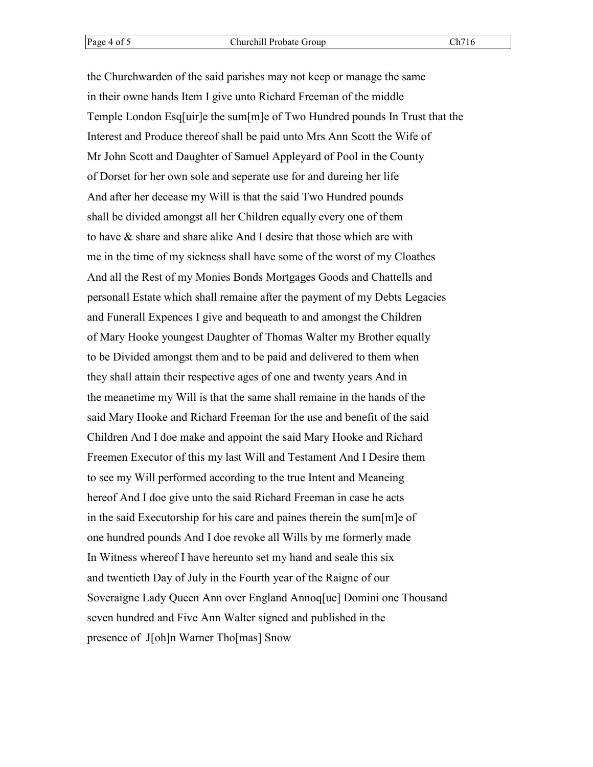the Churchwarden of the said parishes may not keep or manage the same in their owne hands Item I give unto Richard Freeman of the middle Temple London Esq[uir]e the sum[m]e of Two Hundred pounds In Trust that the Interest and Produce thereof shall be paid unto Mrs Ann Scott the Wife of Mr John Scott and Daughter of Samuel Appleyard of Pool in the County of Dorset for her own sole and seperate use for and dureing her life And after her decease my Will is that the said Two Hundred pounds shall be divided amongst all her Children equally every one of them to have & share and share alike And I desire that those which are with me in the time of my sickness shall have some of the worst of my Cloathes And all the Rest of my Monies Bonds Mortgages Goods and Chattells and personall Estate which shall remaine after the payment of my Debts Legacies and Funerall Expences I give and bequeath to and amongst the Children of Mary Hooke youngest Daughter of Thomas Walter my Brother equally to be Divided amongst them and to be paid and delivered to them when they shall attain their respective ages of one and twenty years And in the meanetime my Will is that the same shall remaine in the hands of the said Mary Hooke and Richard Freeman for the use and benefit of the said Children And I doe make and appoint the said Mary Hooke and Richard Freemen Executor of this my last Will and Testament And I Desire them to see my Will performed according to the true Intent and Meaneing hereof And I doe give unto the said Richard Freeman in case he acts in the said Executorship for his care and paines therein the sum[m]e of one hundred pounds And I doe revoke all Wills by me formerly made In Witness whereof I have hereunto set my hand and seale this six and twentieth Day of July in the Fourth year of the Raigne of our Soveraigne Lady Queen Ann over England Annoq[ue] Domini one Thousand seven hundred and Five Ann Walter signed and published in the presence of J[oh]n Warner Tho[mas] Snow